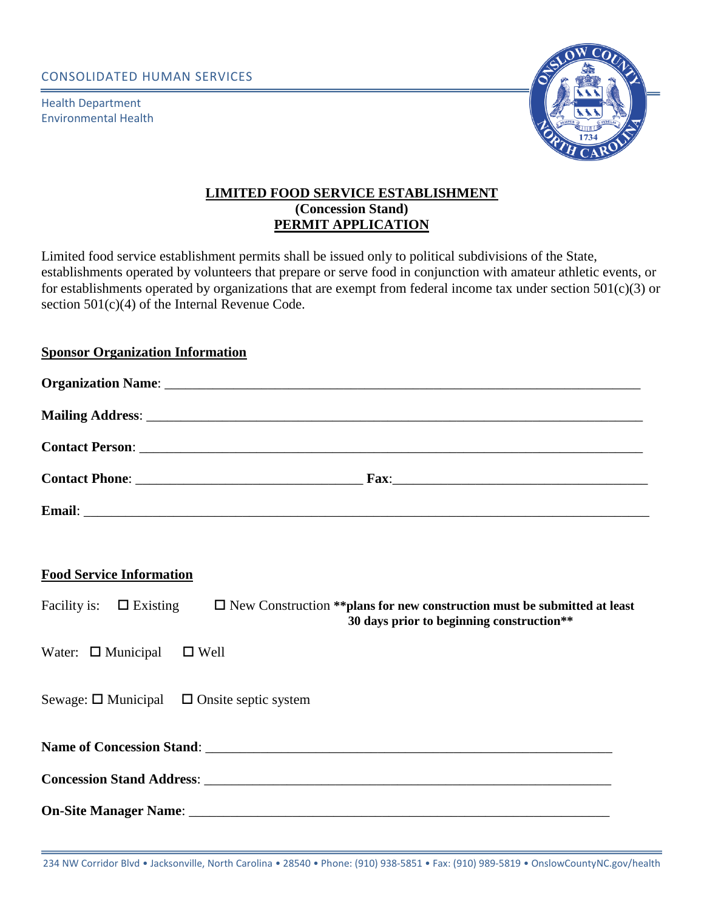CONSOLIDATED HUMAN SERVICES

Health Department Environmental Health



# **LIMITED FOOD SERVICE ESTABLISHMENT (Concession Stand) PERMIT APPLICATION**

Limited food service establishment permits shall be issued only to political subdivisions of the State, establishments operated by volunteers that prepare or serve food in conjunction with amateur athletic events, or for establishments operated by organizations that are exempt from federal income tax under section 501(c)(3) or section 501(c)(4) of the Internal Revenue Code.

## **Sponsor Organization Information**

| <b>Contact Phone:</b> |  |
|-----------------------|--|
| Email:                |  |

#### **Food Service Information**

Facility is:  $\Box$  Existing  $\Box$  New Construction \*\*plans for new construction must be submitted at least  **30 days prior to beginning construction\*\***

Water:  $\Box$  Municipal  $\Box$  Well

Sewage:  $\square$  Municipal  $\square$  Onsite septic system

**Name of Concession Stand:**  $\blacksquare$ 

**Concession Stand Address:**  $\blacksquare$ 

**On-Site Manager Name:**  $\blacksquare$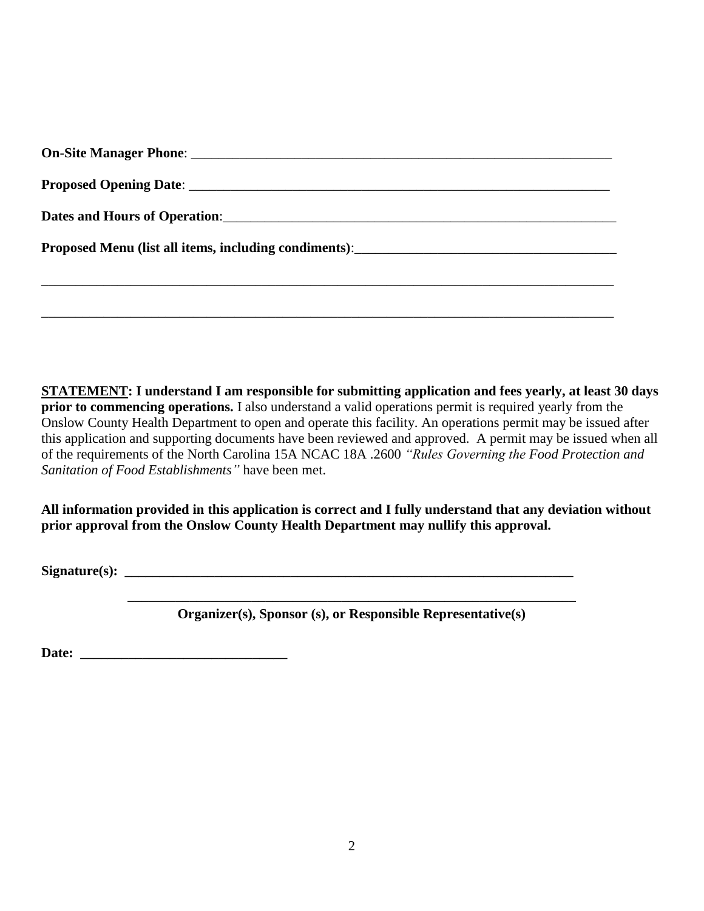| Proposed Menu (list all items, including condiments): ___________________________ |
|-----------------------------------------------------------------------------------|
|                                                                                   |
|                                                                                   |

**STATEMENT: I understand I am responsible for submitting application and fees yearly, at least 30 days prior to commencing operations.** I also understand a valid operations permit is required yearly from the Onslow County Health Department to open and operate this facility. An operations permit may be issued after this application and supporting documents have been reviewed and approved. A permit may be issued when all of the requirements of the North Carolina 15A NCAC 18A .2600 *"Rules Governing the Food Protection and Sanitation of Food Establishments"* have been met.

**All information provided in this application is correct and I fully understand that any deviation without prior approval from the Onslow County Health Department may nullify this approval.**

**Signature(s): \_\_\_\_\_\_\_\_\_\_\_\_\_\_\_\_\_\_\_\_\_\_\_\_\_\_\_\_\_\_\_\_\_\_\_\_\_\_\_\_\_\_\_\_\_\_\_\_\_\_\_\_\_\_\_\_\_\_\_\_\_\_\_\_\_**

\_\_\_\_\_\_\_\_\_\_\_\_\_\_\_\_\_\_\_\_\_\_\_\_\_\_\_\_\_\_\_\_\_\_\_\_\_\_\_\_\_\_\_\_\_\_\_\_\_\_\_\_\_\_\_\_\_\_\_\_\_\_\_\_\_ **Organizer(s), Sponsor (s), or Responsible Representative(s)**

Date: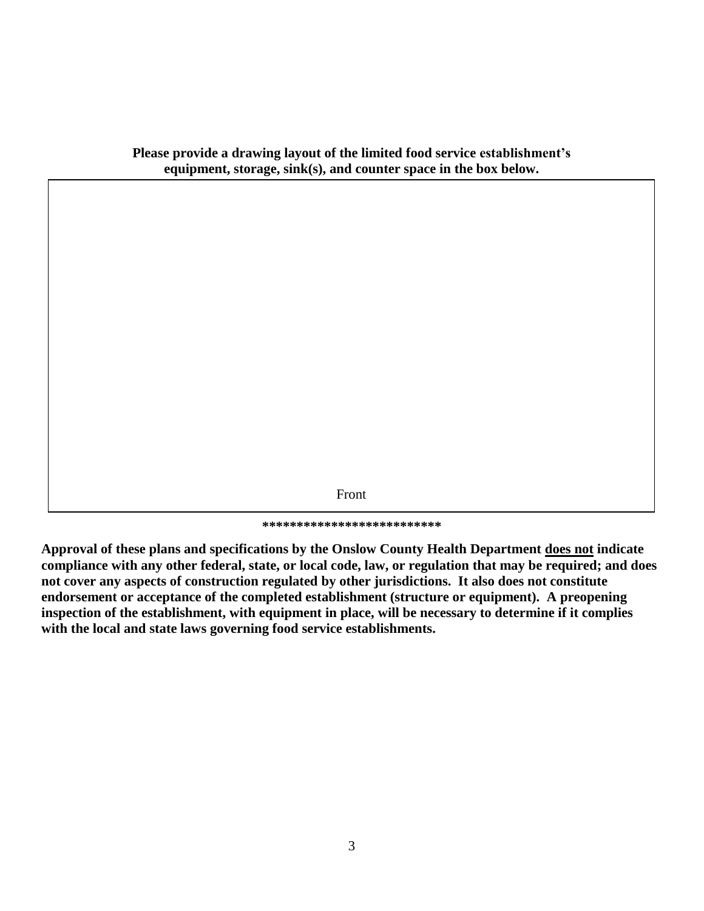**Please provide a drawing layout of the limited food service establishment's equipment, storage, sink(s), and counter space in the box below.**

Front

**\*\*\*\*\*\*\*\*\*\*\*\*\*\*\*\*\*\*\*\*\*\*\*\*\*\***

**Approval of these plans and specifications by the Onslow County Health Department does not indicate compliance with any other federal, state, or local code, law, or regulation that may be required; and does not cover any aspects of construction regulated by other jurisdictions. It also does not constitute endorsement or acceptance of the completed establishment (structure or equipment). A preopening inspection of the establishment, with equipment in place, will be necessary to determine if it complies with the local and state laws governing food service establishments.**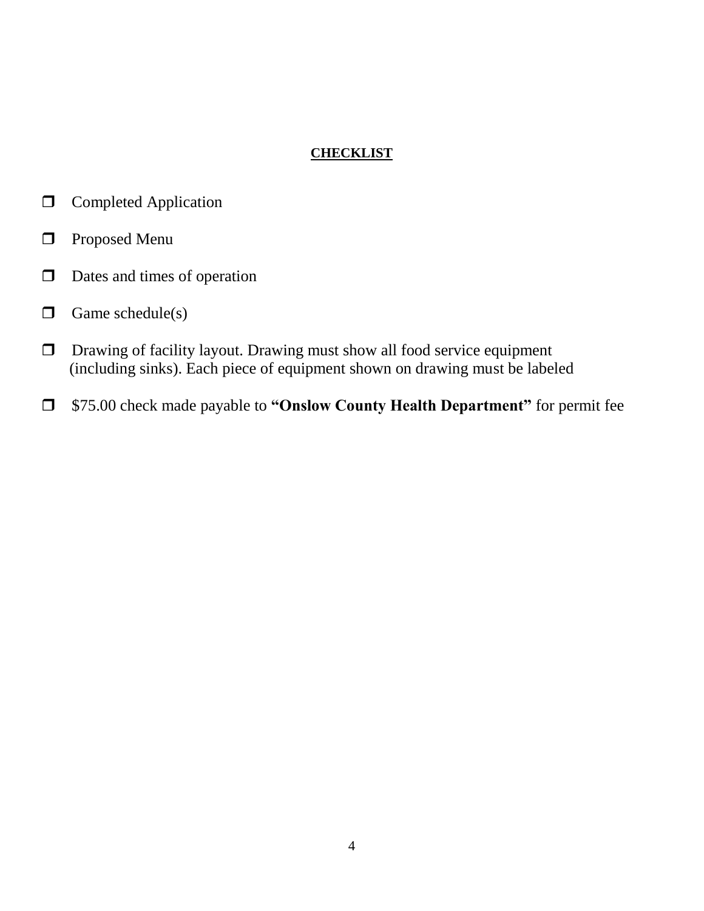# **CHECKLIST**

- **Completed Application**
- **Proposed Menu**
- $\Box$  Dates and times of operation
- $\Box$  Game schedule(s)
- Drawing of facility layout. Drawing must show all food service equipment (including sinks). Each piece of equipment shown on drawing must be labeled
- \$75.00 check made payable to **"Onslow County Health Department"** for permit fee